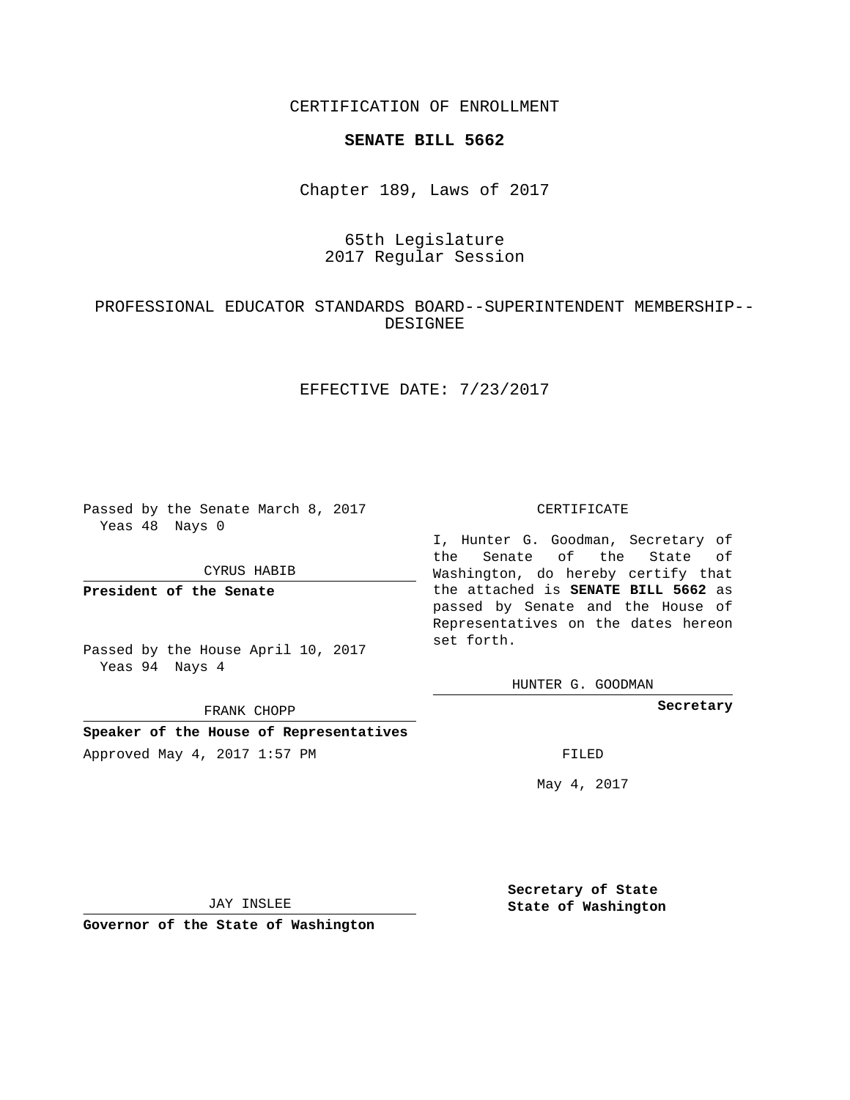CERTIFICATION OF ENROLLMENT

#### **SENATE BILL 5662**

Chapter 189, Laws of 2017

# 65th Legislature 2017 Regular Session

# PROFESSIONAL EDUCATOR STANDARDS BOARD--SUPERINTENDENT MEMBERSHIP-- DESIGNEE

### EFFECTIVE DATE: 7/23/2017

Passed by the Senate March 8, 2017 Yeas 48 Nays 0

CYRUS HABIB

**President of the Senate**

Passed by the House April 10, 2017 Yeas 94 Nays 4

FRANK CHOPP

# **Speaker of the House of Representatives**

Approved May 4, 2017 1:57 PM FILED

#### CERTIFICATE

I, Hunter G. Goodman, Secretary of the Senate of the State of Washington, do hereby certify that the attached is **SENATE BILL 5662** as passed by Senate and the House of Representatives on the dates hereon set forth.

HUNTER G. GOODMAN

**Secretary**

May 4, 2017

JAY INSLEE

**Governor of the State of Washington**

**Secretary of State State of Washington**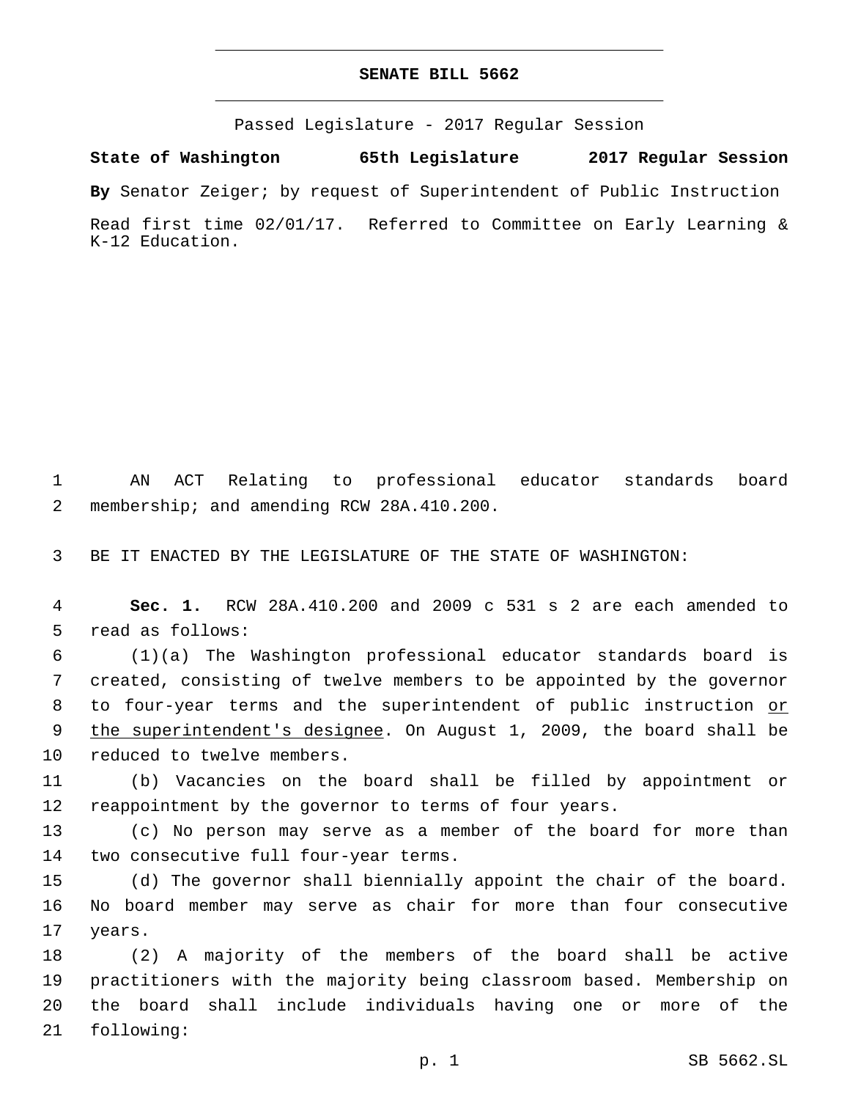#### **SENATE BILL 5662**

Passed Legislature - 2017 Regular Session

**State of Washington 65th Legislature 2017 Regular Session**

**By** Senator Zeiger; by request of Superintendent of Public Instruction

Read first time 02/01/17. Referred to Committee on Early Learning & K-12 Education.

1 AN ACT Relating to professional educator standards board 2 membership; and amending RCW 28A.410.200.

3 BE IT ENACTED BY THE LEGISLATURE OF THE STATE OF WASHINGTON:

4 **Sec. 1.** RCW 28A.410.200 and 2009 c 531 s 2 are each amended to 5 read as follows:

6 (1)(a) The Washington professional educator standards board is 7 created, consisting of twelve members to be appointed by the governor 8 to four-year terms and the superintendent of public instruction or 9 the superintendent's designee. On August 1, 2009, the board shall be 10 reduced to twelve members.

11 (b) Vacancies on the board shall be filled by appointment or 12 reappointment by the governor to terms of four years.

13 (c) No person may serve as a member of the board for more than 14 two consecutive full four-year terms.

15 (d) The governor shall biennially appoint the chair of the board. 16 No board member may serve as chair for more than four consecutive 17 years.

 (2) A majority of the members of the board shall be active practitioners with the majority being classroom based. Membership on the board shall include individuals having one or more of the 21 following: